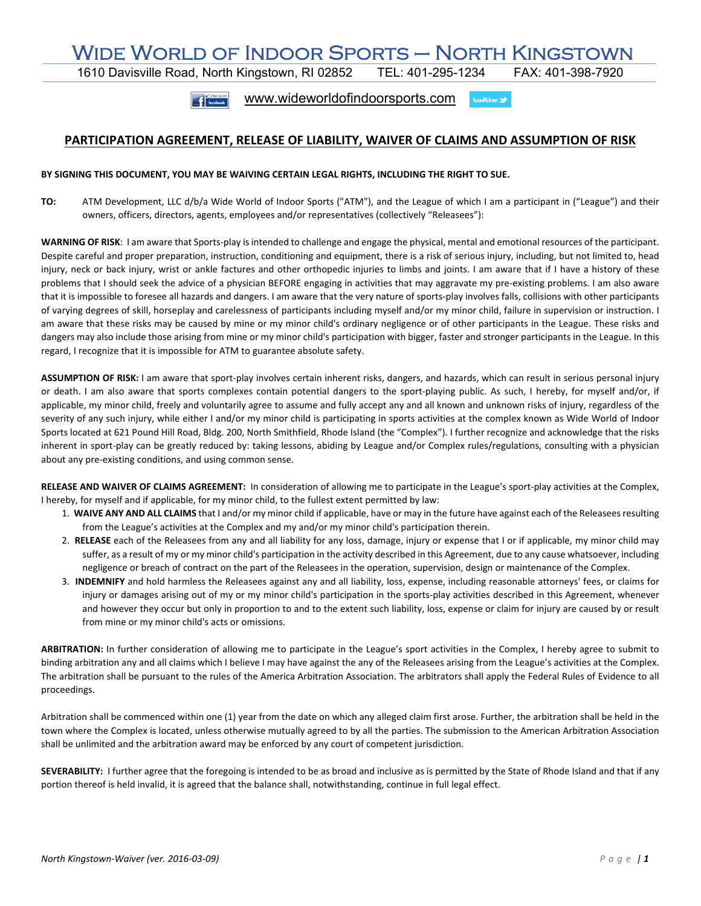## WIDE WORLD OF INDOOR SPORTS — NORTH KINGSTOWN<br>1610 Davisville Road, North Kingstown, RI 02852 TEL: 401-295-1234 FAX: 401-398-7920

1610 Davisville Road, North Kingstown, RI 02852 TEL: 401-295-1234 FAX: 401-398-7920

f facebaok www.wideworldofindoorsports.com **Lwitter** 

## **PARTICIPATION AGREEMENT, RELEASE OF LIABILITY, WAIVER OF CLAIMS AND ASSUMPTION OF RISK**

## **BY SIGNING THIS DOCUMENT, YOU MAY BE WAIVING CERTAIN LEGAL RIGHTS, INCLUDING THE RIGHT TO SUE.**

**TO:** ATM Development, LLC d/b/a Wide World of Indoor Sports ("ATM"), and the League of which I am a participant in ("League") and their owners, officers, directors, agents, employees and/or representatives (collectively "Releasees"):

**WARNING OF RISK**: I am aware that Sports‐play is intended to challenge and engage the physical, mental and emotional resources of the participant. Despite careful and proper preparation, instruction, conditioning and equipment, there is a risk of serious injury, including, but not limited to, head injury, neck or back injury, wrist or ankle factures and other orthopedic injuries to limbs and joints. I am aware that if I have a history of these problems that I should seek the advice of a physician BEFORE engaging in activities that may aggravate my pre‐existing problems. I am also aware that it is impossible to foresee all hazards and dangers. I am aware that the very nature of sports‐play involves falls, collisions with other participants of varying degrees of skill, horseplay and carelessness of participants including myself and/or my minor child, failure in supervision or instruction. I am aware that these risks may be caused by mine or my minor child's ordinary negligence or of other participants in the League. These risks and dangers may also include those arising from mine or my minor child's participation with bigger, faster and stronger participants in the League. In this regard, I recognize that it is impossible for ATM to guarantee absolute safety.

**ASSUMPTION OF RISK:** I am aware that sport‐play involves certain inherent risks, dangers, and hazards, which can result in serious personal injury or death. I am also aware that sports complexes contain potential dangers to the sport-playing public. As such, I hereby, for myself and/or, if applicable, my minor child, freely and voluntarily agree to assume and fully accept any and all known and unknown risks of injury, regardless of the severity of any such injury, while either I and/or my minor child is participating in sports activities at the complex known as Wide World of Indoor Sports located at 621 Pound Hill Road, Bldg. 200, North Smithfield, Rhode Island (the "Complex"). I further recognize and acknowledge that the risks inherent in sport‐play can be greatly reduced by: taking lessons, abiding by League and/or Complex rules/regulations, consulting with a physician about any pre‐existing conditions, and using common sense.

RELEASE AND WAIVER OF CLAIMS AGREEMENT: In consideration of allowing me to participate in the League's sport-play activities at the Complex, I hereby, for myself and if applicable, for my minor child, to the fullest extent permitted by law:

- 1.  **WAIVE ANY AND ALL CLAIMS** that I and/or my minor child if applicable, have or may in the future have against each of the Releasees resulting from the League's activities at the Complex and my and/or my minor child's participation therein.
- 2.  **RELEASE** each of the Releasees from any and all liability for any loss, damage, injury or expense that I or if applicable, my minor child may suffer, as a result of my or my minor child's participation in the activity described in this Agreement, due to any cause whatsoever, including negligence or breach of contract on the part of the Releasees in the operation, supervision, design or maintenance of the Complex.
- 3. **INDEMNIFY** and hold harmless the Releasees against any and all liability, loss, expense, including reasonable attorneys' fees, or claims for injury or damages arising out of my or my minor child's participation in the sports‐play activities described in this Agreement, whenever and however they occur but only in proportion to and to the extent such liability, loss, expense or claim for injury are caused by or result from mine or my minor child's acts or omissions.

**ARBITRATION:** In further consideration of allowing me to participate in the League's sport activities in the Complex, I hereby agree to submit to binding arbitration any and all claims which I believe I may have against the any of the Releasees arising from the League's activities at the Complex. The arbitration shall be pursuant to the rules of the America Arbitration Association. The arbitrators shall apply the Federal Rules of Evidence to all proceedings.

Arbitration shall be commenced within one (1) year from the date on which any alleged claim first arose. Further, the arbitration shall be held in the town where the Complex is located, unless otherwise mutually agreed to by all the parties. The submission to the American Arbitration Association shall be unlimited and the arbitration award may be enforced by any court of competent jurisdiction.

SEVERABILITY: I further agree that the foregoing is intended to be as broad and inclusive as is permitted by the State of Rhode Island and that if any portion thereof is held invalid, it is agreed that the balance shall, notwithstanding, continue in full legal effect.